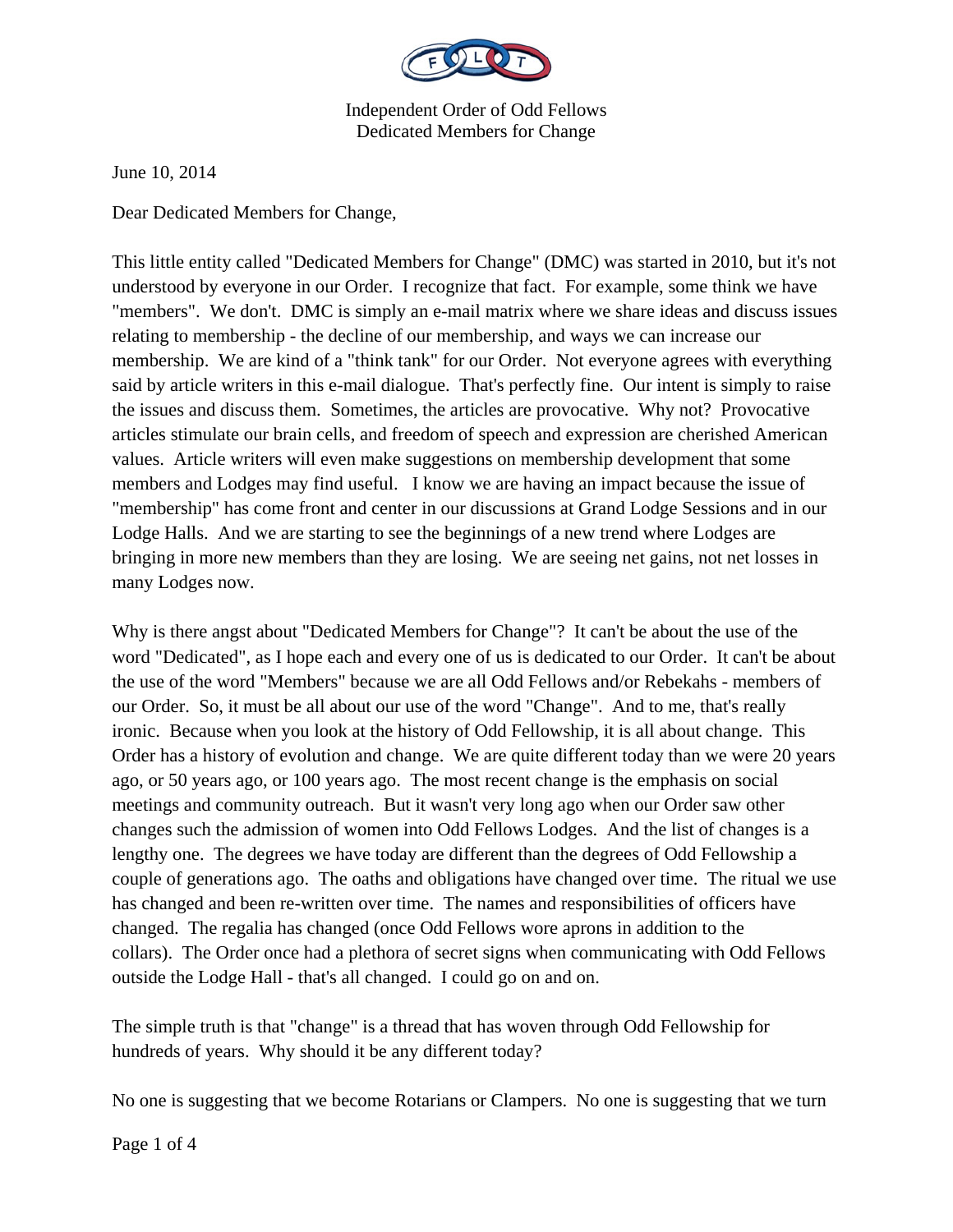

Independent Order of Odd Fellows Dedicated Members for Change

June 10, 2014

Dear Dedicated Members for Change,

This little entity called "Dedicated Members for Change" (DMC) was started in 2010, but it's not understood by everyone in our Order. I recognize that fact. For example, some think we have "members". We don't. DMC is simply an e-mail matrix where we share ideas and discuss issues relating to membership - the decline of our membership, and ways we can increase our membership. We are kind of a "think tank" for our Order. Not everyone agrees with everything said by article writers in this e-mail dialogue. That's perfectly fine. Our intent is simply to raise the issues and discuss them. Sometimes, the articles are provocative. Why not? Provocative articles stimulate our brain cells, and freedom of speech and expression are cherished American values. Article writers will even make suggestions on membership development that some members and Lodges may find useful. I know we are having an impact because the issue of "membership" has come front and center in our discussions at Grand Lodge Sessions and in our Lodge Halls. And we are starting to see the beginnings of a new trend where Lodges are bringing in more new members than they are losing. We are seeing net gains, not net losses in many Lodges now.

Why is there angst about "Dedicated Members for Change"? It can't be about the use of the word "Dedicated", as I hope each and every one of us is dedicated to our Order. It can't be about the use of the word "Members" because we are all Odd Fellows and/or Rebekahs - members of our Order. So, it must be all about our use of the word "Change". And to me, that's really ironic. Because when you look at the history of Odd Fellowship, it is all about change. This Order has a history of evolution and change. We are quite different today than we were 20 years ago, or 50 years ago, or 100 years ago. The most recent change is the emphasis on social meetings and community outreach. But it wasn't very long ago when our Order saw other changes such the admission of women into Odd Fellows Lodges. And the list of changes is a lengthy one. The degrees we have today are different than the degrees of Odd Fellowship a couple of generations ago. The oaths and obligations have changed over time. The ritual we use has changed and been re-written over time. The names and responsibilities of officers have changed. The regalia has changed (once Odd Fellows wore aprons in addition to the collars). The Order once had a plethora of secret signs when communicating with Odd Fellows outside the Lodge Hall - that's all changed. I could go on and on.

The simple truth is that "change" is a thread that has woven through Odd Fellowship for hundreds of years. Why should it be any different today?

No one is suggesting that we become Rotarians or Clampers. No one is suggesting that we turn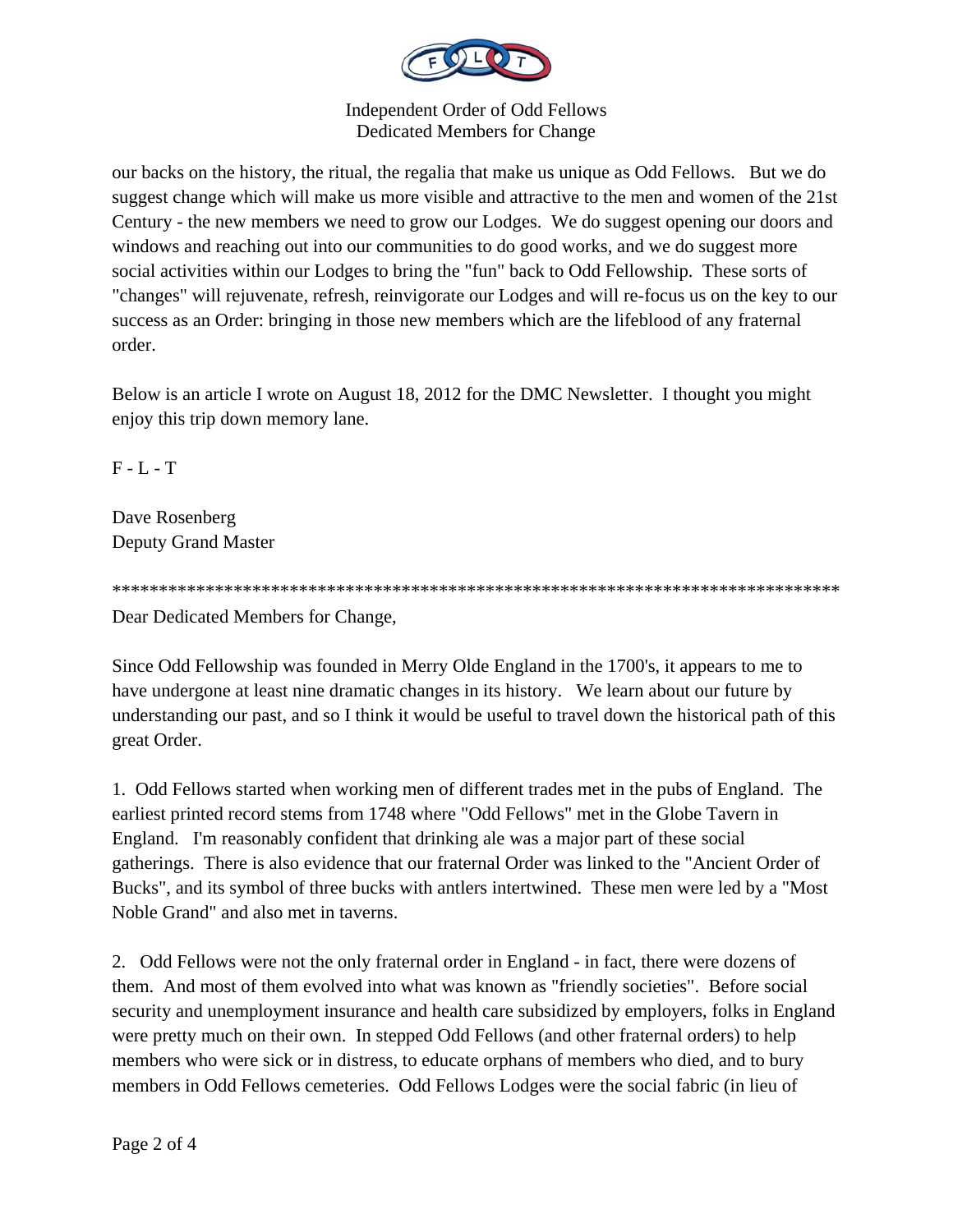

**Independent Order of Odd Fellows** Dedicated Members for Change

our backs on the history, the ritual, the regalia that make us unique as Odd Fellows. But we do suggest change which will make us more visible and attractive to the men and women of the 21st Century - the new members we need to grow our Lodges. We do suggest opening our doors and windows and reaching out into our communities to do good works, and we do suggest more social activities within our Lodges to bring the "fun" back to Odd Fellowship. These sorts of "changes" will rejuvenate, refresh, reinvigorate our Lodges and will re-focus us on the key to our success as an Order: bringing in those new members which are the lifeblood of any fraternal order.

Below is an article I wrote on August 18, 2012 for the DMC Newsletter. I thought you might enjoy this trip down memory lane.

 $F - L - T$ 

Dave Rosenberg **Deputy Grand Master** 

Dear Dedicated Members for Change,

Since Odd Fellowship was founded in Merry Olde England in the 1700's, it appears to me to have undergone at least nine dramatic changes in its history. We learn about our future by understanding our past, and so I think it would be useful to travel down the historical path of this great Order.

1. Odd Fellows started when working men of different trades met in the pubs of England. The earliest printed record stems from 1748 where "Odd Fellows" met in the Globe Tavern in England. I'm reasonably confident that drinking ale was a major part of these social gatherings. There is also evidence that our fraternal Order was linked to the "Ancient Order of Bucks", and its symbol of three bucks with antlers intertwined. These men were led by a "Most" Noble Grand" and also met in taverns.

2. Odd Fellows were not the only fraternal order in England - in fact, there were dozens of them. And most of them evolved into what was known as "friendly societies". Before social security and unemployment insurance and health care subsidized by employers, folks in England were pretty much on their own. In stepped Odd Fellows (and other fraternal orders) to help members who were sick or in distress, to educate orphans of members who died, and to bury members in Odd Fellows cemeteries. Odd Fellows Lodges were the social fabric (in lieu of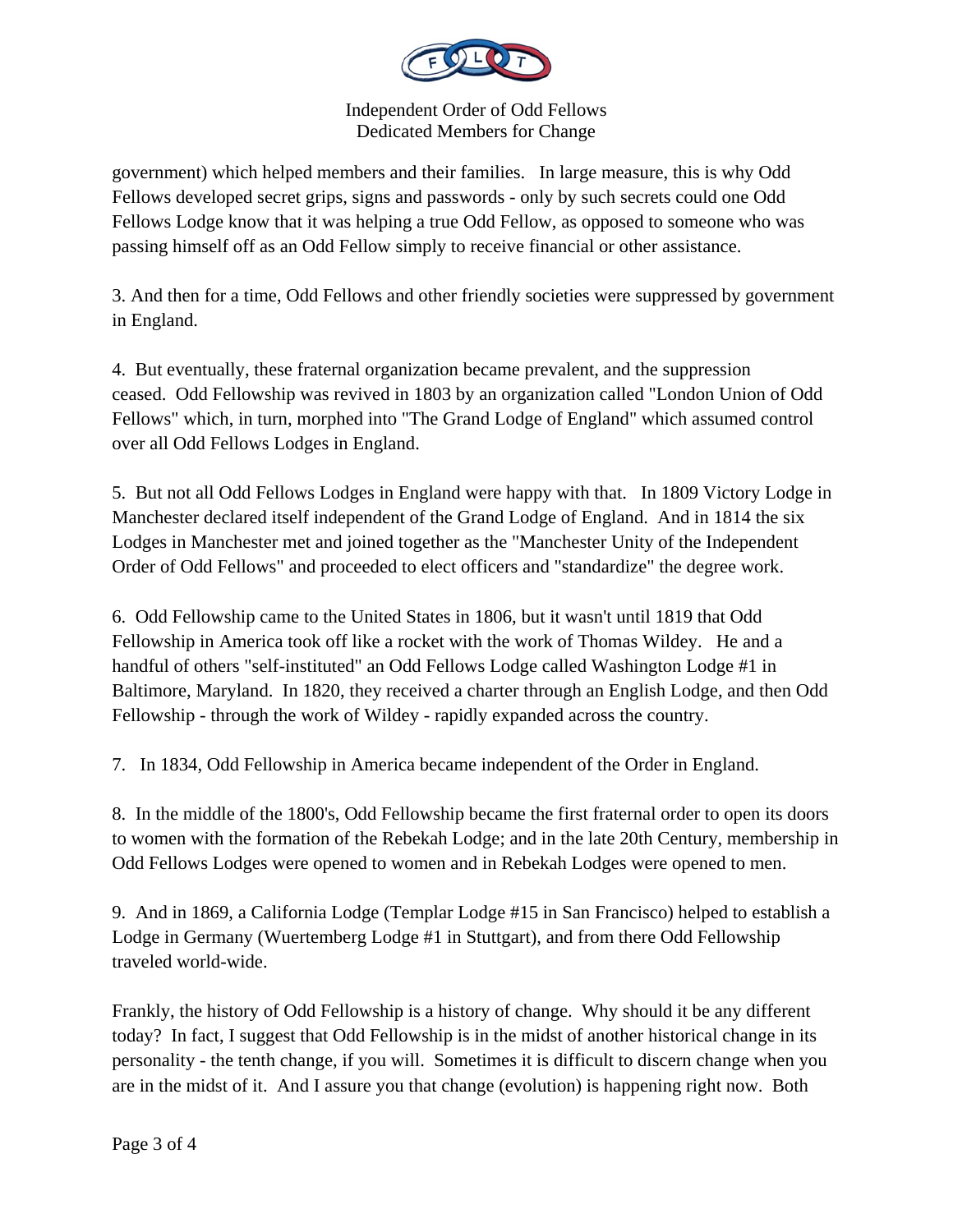

Independent Order of Odd Fellows Dedicated Members for Change

government) which helped members and their families. In large measure, this is why Odd Fellows developed secret grips, signs and passwords - only by such secrets could one Odd Fellows Lodge know that it was helping a true Odd Fellow, as opposed to someone who was passing himself off as an Odd Fellow simply to receive financial or other assistance.

3. And then for a time, Odd Fellows and other friendly societies were suppressed by government in England.

4. But eventually, these fraternal organization became prevalent, and the suppression ceased. Odd Fellowship was revived in 1803 by an organization called "London Union of Odd Fellows" which, in turn, morphed into "The Grand Lodge of England" which assumed control over all Odd Fellows Lodges in England.

5. But not all Odd Fellows Lodges in England were happy with that. In 1809 Victory Lodge in Manchester declared itself independent of the Grand Lodge of England. And in 1814 the six Lodges in Manchester met and joined together as the "Manchester Unity of the Independent Order of Odd Fellows" and proceeded to elect officers and "standardize" the degree work.

6. Odd Fellowship came to the United States in 1806, but it wasn't until 1819 that Odd Fellowship in America took off like a rocket with the work of Thomas Wildey. He and a handful of others "self-instituted" an Odd Fellows Lodge called Washington Lodge #1 in Baltimore, Maryland. In 1820, they received a charter through an English Lodge, and then Odd Fellowship - through the work of Wildey - rapidly expanded across the country.

7. In 1834, Odd Fellowship in America became independent of the Order in England.

8. In the middle of the 1800's, Odd Fellowship became the first fraternal order to open its doors to women with the formation of the Rebekah Lodge; and in the late 20th Century, membership in Odd Fellows Lodges were opened to women and in Rebekah Lodges were opened to men.

9. And in 1869, a California Lodge (Templar Lodge #15 in San Francisco) helped to establish a Lodge in Germany (Wuertemberg Lodge #1 in Stuttgart), and from there Odd Fellowship traveled world-wide.

Frankly, the history of Odd Fellowship is a history of change. Why should it be any different today? In fact, I suggest that Odd Fellowship is in the midst of another historical change in its personality - the tenth change, if you will. Sometimes it is difficult to discern change when you are in the midst of it. And I assure you that change (evolution) is happening right now. Both